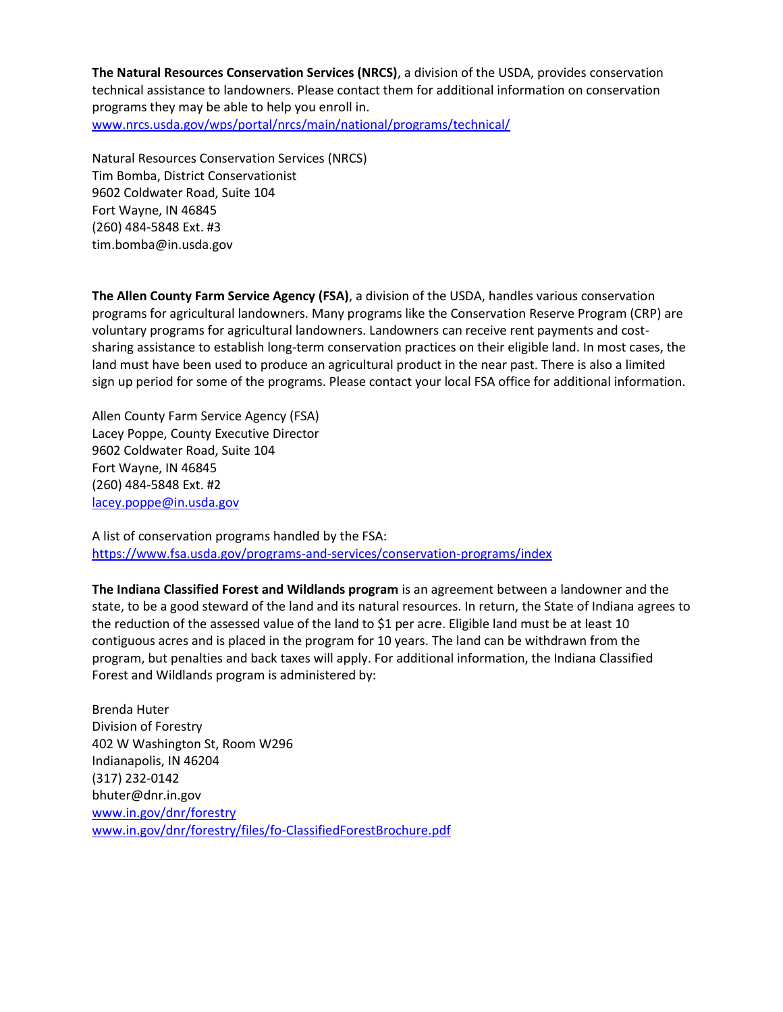**The Natural Resources Conservation Services (NRCS)**, a division of the USDA, provides conservation technical assistance to landowners. Please contact them for additional information on conservation programs they may be able to help you enroll in. [www.nrcs.usda.gov/wps/portal/nrcs/main/national/programs/technical/](http://www.nrcs.usda.gov/wps/portal/nrcs/main/national/programs/technical/)

Natural Resources Conservation Services (NRCS) Tim Bomba, District Conservationist 9602 Coldwater Road, Suite 104 Fort Wayne, IN 46845 (260) 484-5848 Ext. #3 [tim.bomba@in.usda.gov](mailto:tim.bomba@in.usda.gov)

**The Allen County Farm Service Agency (FSA)**, a division of the USDA, handles various conservation programs for agricultural landowners. Many programs like the Conservation Reserve Program (CRP) are voluntary programs for agricultural landowners. Landowners can receive rent payments and costsharing assistance to establish long-term conservation practices on their eligible land. In most cases, the land must have been used to produce an agricultural product in the near past. There is also a limited sign up period for some of the programs. Please contact your local FSA office for additional information.

Allen County Farm Service Agency (FSA) Lacey Poppe, County Executive Director 9602 Coldwater Road, Suite 104 Fort Wayne, IN 46845 (260) 484-5848 Ext. #2 [lacey.poppe@in.usda.gov](mailto:lacey.poppe@in.usda.gov)

A list of conservation programs handled by the FSA: <https://www.fsa.usda.gov/programs-and-services/conservation-programs/index>

**The Indiana Classified Forest and Wildlands program** is an agreement between a landowner and the state, to be a good steward of the land and its natural resources. In return, the State of Indiana agrees to the reduction of the assessed value of the land to \$1 per acre. Eligible land must be at least 10 contiguous acres and is placed in the program for 10 years. The land can be withdrawn from the program, but penalties and back taxes will apply. For additional information, the Indiana Classified Forest and Wildlands program is administered by:

Brenda Huter Division of Forestry 402 W Washington St, Room W296 Indianapolis, IN 46204 (317) 232-0142 [bhuter@dnr.in.gov](mailto:bhuter@dnr.in.gov) [www.in.gov/dnr/forestry](file:///C:/Users/mascaa/Documents/www.in.gov/dnr/forestry) [www.in.gov/dnr/forestry/files/fo-ClassifiedForestBrochure.pdf](http://www.in.gov/dnr/forestry/files/fo-ClassifiedForestBrochure.pdf)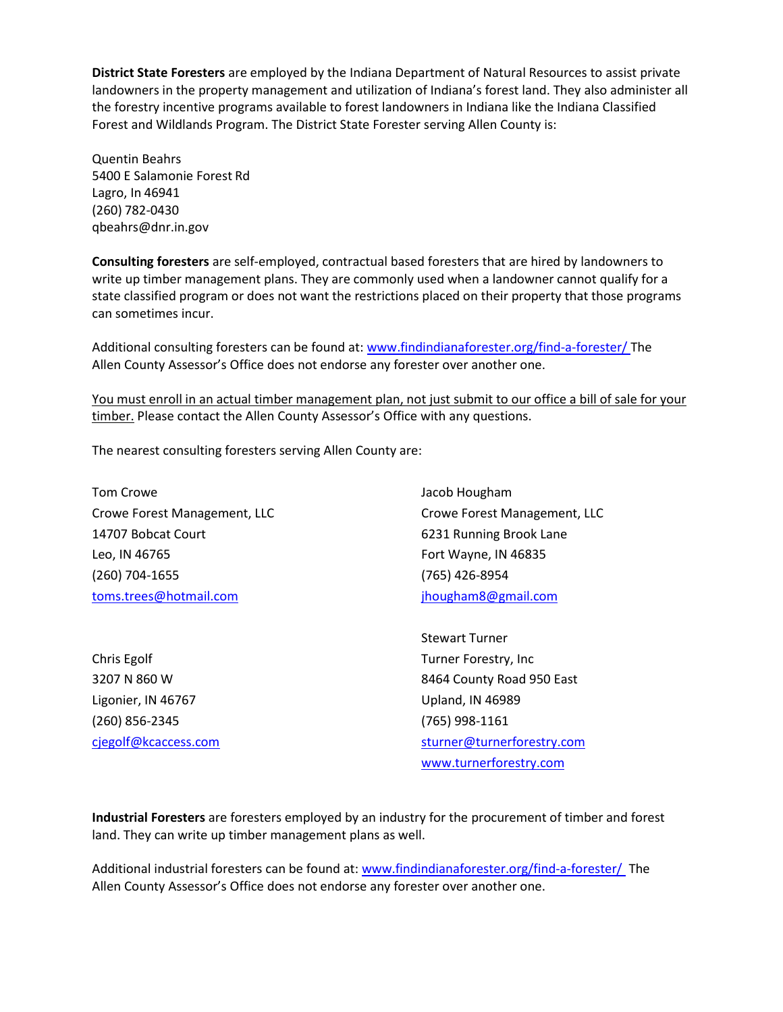**District State Foresters** are employed by the Indiana Department of Natural Resources to assist private landowners in the property management and utilization of Indiana's forest land. They also administer all the forestry incentive programs available to forest landowners in Indiana like the Indiana Classified Forest and Wildlands Program. The District State Forester serving Allen County is:

Quentin Beahrs 5400 E Salamonie Forest Rd Lagro, In 46941 (260) 782-0430 [qbeahrs@dnr.in.gov](mailto:qbeahrs@dnr.in.gov)

**Consulting foresters** are self-employed, contractual based foresters that are hired by landowners to write up timber management plans. They are commonly used when a landowner cannot qualify for a state classified program or does not want the restrictions placed on their property that those programs can sometimes incur.

Additional consulting foresters can be found at: [www.findindianaforester.org/find-a-forester/](http://www.findindianaforester.org/find-a-forester/) The Allen County Assessor's Office does not endorse any forester over another one.

You must enroll in an actual timber management plan, not just submit to our office a bill of sale for your timber. Please contact the Allen County Assessor's Office with any questions.

The nearest consulting foresters serving Allen County are:

Tom Crowe Crowe Forest Management, LLC 14707 Bobcat Court Leo, IN 46765 (260) 704-1655 [toms.trees@hotmail.com](mailto:toms.trees@hotmail.com)

Chris Egolf 3207 N 860 W Ligonier, IN 46767 (260) 856-2345 [cjegolf@kcaccess.com](mailto:cjegolf@kcaccess.com) Jacob Hougham Crowe Forest Management, LLC 6231 Running Brook Lane Fort Wayne, IN 46835 (765) 426-8954 [jhougham8@gmail.com](mailto:jhougham8@gmail.com)

Stewart Turner Turner Forestry, Inc 8464 County Road 950 East Upland, IN 46989 (765) 998-1161 [sturner@turnerforestry.com](mailto:sturner@turnerforestry.com) [www.turnerforestry.com](http://www.turnerforestry.com/)

**Industrial Foresters** are foresters employed by an industry for the procurement of timber and forest land. They can write up timber management plans as well.

Additional industrial foresters can be found at: [www.findindianaforester.org/find-a-forester/](http://www.findindianaforester.org/find-a-forester/) The Allen County Assessor's Office does not endorse any forester over another one.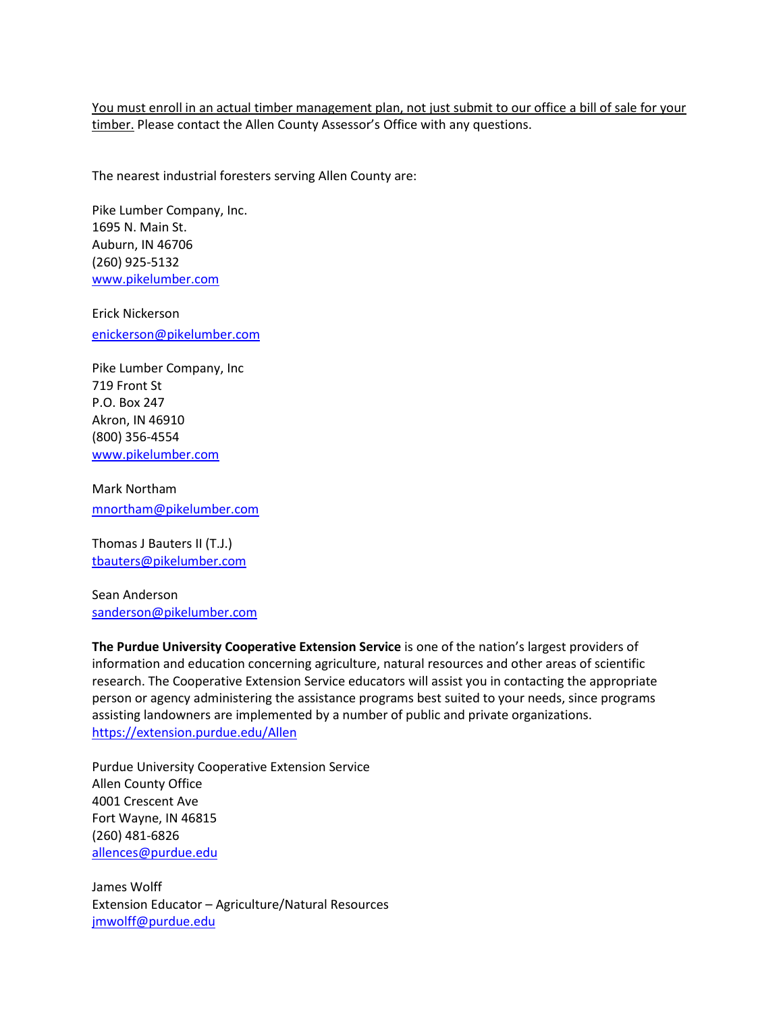You must enroll in an actual timber management plan, not just submit to our office a bill of sale for your timber. Please contact the Allen County Assessor's Office with any questions.

The nearest industrial foresters serving Allen County are:

Pike Lumber Company, Inc. 1695 N. Main St. Auburn, IN 46706 (260) 925-5132 [www.pikelumber.com](file:///C:/Users/mascaa/Documents/www.pikelumber.com)

Erick Nickerson [enickerson@pikelumber.com](mailto:enickerson@pikelumber.com)

Pike Lumber Company, Inc 719 Front St P.O. Box 247 Akron, IN 46910 (800) 356-4554 [www.pikelumber.com](file:///C:/Users/mascaa/Documents/www.pikelumber.com)

Mark Northa[m](mailto:mnortham@pikelumber.com) [mnortham@pikelumber.com](mailto:mnortham@pikelumber.com)

Thomas J Bauters II (T.J.) [tbauters@pikelumber.com](mailto:tbauters@pikelumber.com) 

Sean Anderson [sanderson@pikelumber.com](mailto:sanderson@pikelumber.com)

**The Purdue University Cooperative Extension Service** is one of the nation's largest providers of information and education concerning agriculture, natural resources and other areas of scientific research. The Cooperative Extension Service educators will assist you in contacting the appropriate person or agency administering the assistance programs best suited to your needs, since programs assisting landowners are implemented by a number of public and private organizations. <https://extension.purdue.edu/Allen>

Purdue University Cooperative Extension Service Allen County Office 4001 Crescent Ave Fort Wayne, IN 46815 (260) 481-6826 [allences@purdue.edu](mailto:allences@purdue.edu)

James Wolff Extension Educator – Agriculture/Natural Resources [jmwolff@purdue.edu](mailto:jmwolff@purdue.edu)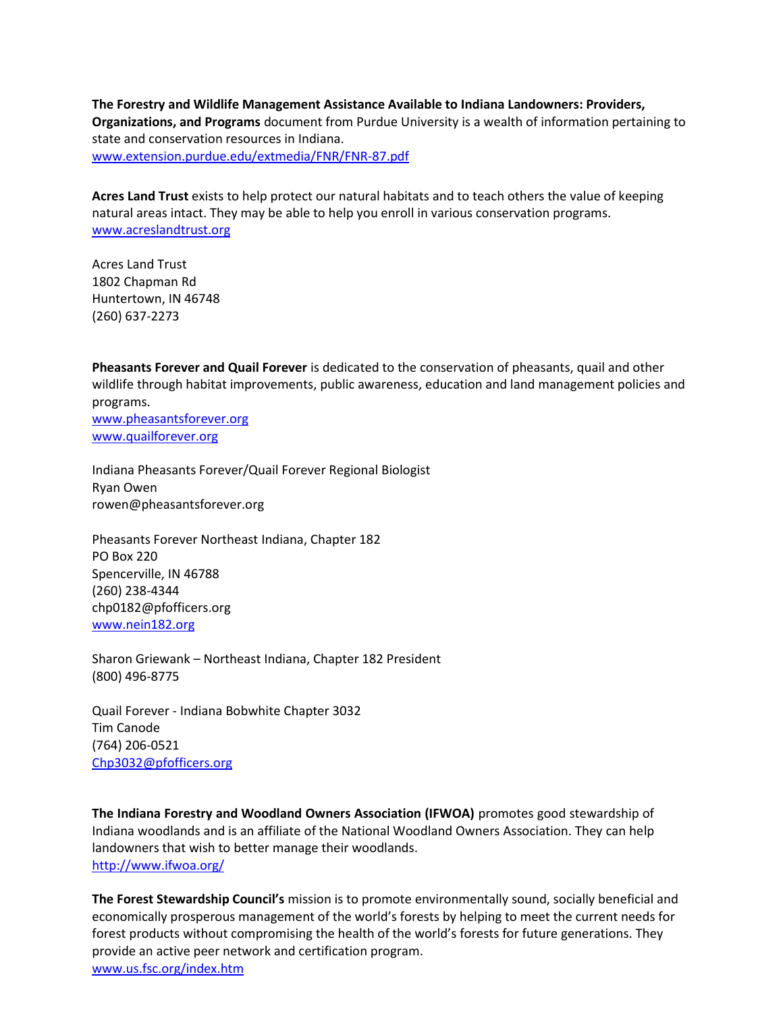**The Forestry and Wildlife Management Assistance Available to Indiana Landowners: Providers, Organizations, and Programs** document from Purdue University is a wealth of information pertaining to state and conservation resources in Indiana. [www.extension.purdue.edu/extmedia/FNR/FNR-87.pdf](http://www.extension.purdue.edu/extmedia/FNR/FNR-87.pdf)

**Acres Land Trust** exists to help protect our natural habitats and to teach others the value of keeping natural areas intact. They may be able to help you enroll in various conservation programs. [www.acreslandtrust.org](http://www.acreslandtrust.org/)

Acres Land Trust 1802 Chapman Rd Huntertown, IN 46748 (260) 637-2273

**Pheasants Forever and Quail Forever** is dedicated to the conservation of pheasants, quail and other wildlife through habitat improvements, public awareness, education and land management policies and programs. [www.pheasantsforever.org](http://pheasantsforever.org/)

[www.quailforever.org](http://www.quailforever.org/)

Indiana Pheasants Forever/Quail Forever Regional Biologist Ryan Owen [rowen@pheasantsforever.org](mailto:rowen@pheasantsforever.org)

Pheasants Forever Northeast Indiana, Chapter 182 PO Box 220 Spencerville, IN 46788 (260) 238-4344 [chp0182@pfofficers.org](mailto:chp0182@pfofficers.org) [www.nein182.org](http://www.nein182.org/)

Sharon Griewank – Northeast Indiana, Chapter 182 President (800) 496-8775

Quail Forever - Indiana Bobwhite Chapter 3032 Tim Canode (764) 206-0521 [Chp3032@pfofficers.org](mailto:Chp3032@pfofficers.org)

**The Indiana Forestry and Woodland Owners Association (IFWOA)** promotes good stewardship of Indiana woodlands and is an affiliate of the National Woodland Owners Association. They can help landowners that wish to better manage their woodlands. <http://www.ifwoa.org/>

**The Forest Stewardship Council's** mission is to promote environmentally sound, socially beneficial and economically prosperous management of the world's forests by helping to meet the current needs for forest products without compromising the health of the world's forests for future generations. They provide an active peer network and certification program.

[www.us.fsc.org/index.htm](https://us.fsc.org/index.htm)